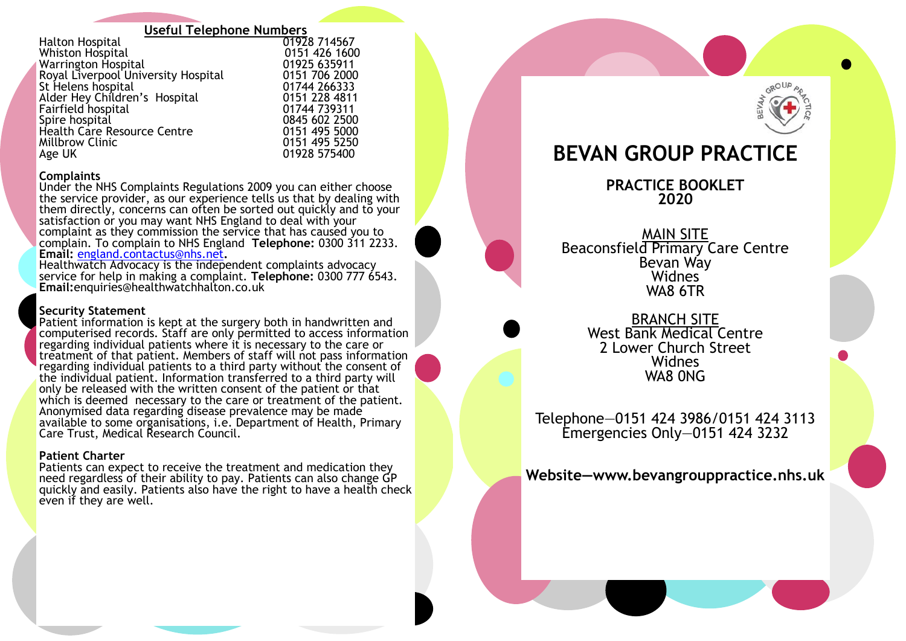# **Useful Telephone Numbers**

Halton Hospital **Canadian Communist Communist Communist Communist Communist Communist Communist Communist Communist**<br>
20151 426 1600 Whiston Hospital 0151 426 1600 Warrington Hospital 01925 635911 Royal Liverpool University Hospital **1986** 0151 706 2000<br>St Helens hospital **1986** 01744 266333 St Helens hospital and the control of the control of the 11744 266333<br>Alder Hev Children's Hospital and the 1181 228 4811 Alder Hey Children's Hospital **1988 128 128 4811**<br>Fairfield hospital **1988 129 124 129 124 129 120 1244** Fairfield hospital<br>Spire hospital Health Care Resource Centre 0151 495 5000 Millbrow Clinic<br>Age UK

#### **Complaints**

Under the NHS Complaints Regulations 2009 you can either choose the service provider, as our experience tells us that by dealing with them directly, concerns can often be sorted out quickly and to your satisfaction or you may want NHS England to deal with your complaint as they commission the service that has caused you to complain. To complain to NHS England **Telephone:** 0300 311 2233. **Email:** [england.contactus@nhs.net](mailto:england.contactus@nhs.net)**.**

Healthwatch Advocacy is the independent complaints advocacy service for help in making a complaint. **Telephone:** 0300 777 6543. **Email:**enquiries@healthwatchhalton.co.uk

# **Security Statement**

Patient information is kept at the surgery both in handwritten and computerised records. Staff are only permitted to access information regarding individual patients where it is necessary to the care or treatment of that patient. Members of staff will not pass information regarding individual patients to a third party without the consent of the individual patient. Information transferred to a third party will only be released with the written consent of the patient or that which is deemed necessary to the care or treatment of the patient. Anonymised data regarding disease prevalence may be made available to some organisations, i.e. Department of Health, Primary Care Trust, Medical Research Council.

# **Patient Charter**

Patients can expect to receive the treatment and medication they need regardless of their ability to pay. Patients can also change GP quickly and easily. Patients also have the right to have a health check even if they are well.



# **BEVAN GROUP PRACTICE**

**PRACTICE BOOKLET 2020**

MAIN SITE Beaconsfield Primary Care Centre Bevan Way Widnes WA8 6TR

> BRANCH SITE West Bank Medical Centre 2 Lower Church Street Widnes WA8 0NG

Telephone—0151 424 3986/0151 424 3113 Emergencies Only—0151 424 3232

**Website—www.bevangrouppractice.nhs.uk**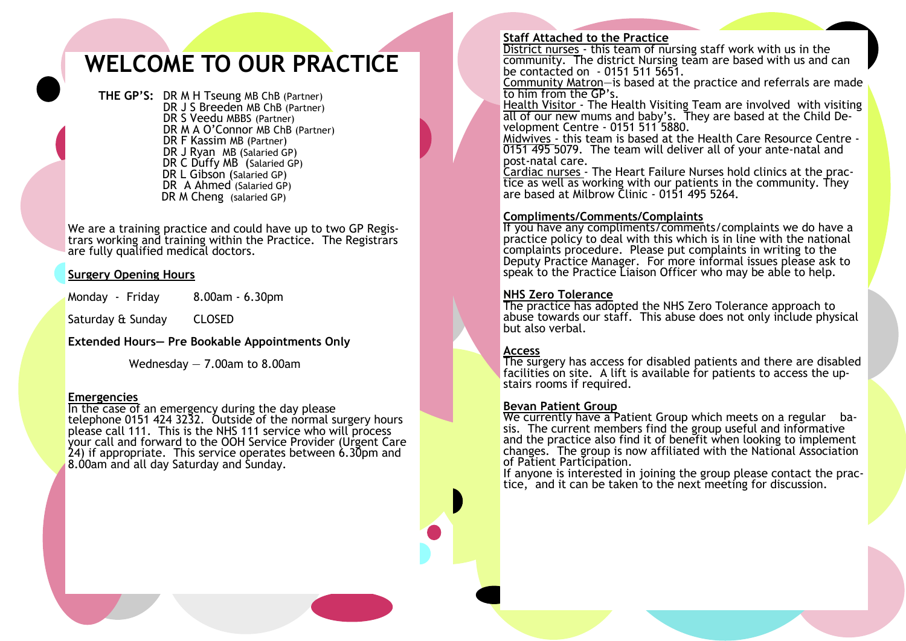# **WELCOME TO OUR PRACTICE**

**THE GP'S:** DR M H Tseung MB ChB (Partner) DR J S Breeden MB ChB (Partner) DR S Veedu MBBS (Partner) DR M A O'Connor MB ChB (Partner) DR F Kassim MB (Partner) DR J Ryan MB (Salaried GP) DR C Duffy MB (Salaried GP) DR L Gibson (Salaried GP) DR A Ahmed (Salaried GP) DR M Cheng (salaried GP)

We are a training practice and could have up to two GP Registrars working and training within the Practice. The Registrars are fully qualified medical doctors.

# **Surgery Opening Hours**

Monday - Friday 8.00am - 6.30pm

Saturday & Sunday CLOSED

**Extended Hours— Pre Bookable Appointments Only**

Wednesday — 7.00am to 8.00am

#### **Emergencies**

In the case of an emergency during the day please telephone 0151 424 3232. Outside of the normal surgery hours please call 111. This is the NHS 111 service who will process your call and forward to the OOH Service Provider (Urgent Care 24) if appropriate. This service operates between 6.30pm and 8.00am and all day Saturday and Sunday.

# **Staff Attached to the Practice**

District nurses - this team of nursing staff work with us in the community. The district Nursing team are based with us and can be contacted on - 0151 511 5651.

Community Matron—is based at the practice and referrals are made to him from the GP's.

Health Visitor - The Health Visiting Team are involved with visiting all of our new mums and baby's. They are based at the Child Development Centre - 0151 511 5880.

Midwives - this team is based at the Health Care Resource Centre - 0151 495 5079. The team will deliver all of your ante-natal and post-natal care.

Cardiac nurses - The Heart Failure Nurses hold clinics at the practice as well as working with our patients in the community. They are based at Milbrow Clinic - 0151 495 5264.

# **Compliments/Comments/Complaints**

If you have any compliments/comments/complaints we do have a practice policy to deal with this which is in line with the national complaints procedure. Please put complaints in writing to the Deputy Practice Manager. For more informal issues please ask to speak to the Practice Liaison Officer who may be able to help.

# **NHS Zero Tolerance**

The practice has adopted the NHS Zero Tolerance approach to abuse towards our staff. This abuse does not only include physical but also verbal.

#### **Access**

The surgery has access for disabled patients and there are disabled facilities on site. A lift is available for patients to access the upstairs rooms if required.

#### **Bevan Patient Group**

We currently have a Patient Group which meets on a regular basis. The current members find the group useful and informative and the practice also find it of benefit when looking to implement changes. The group is now affiliated with the National Association of Patient Participation.

If anyone is interested in joining the group please contact the practice, and it can be taken to the next meeting for discussion.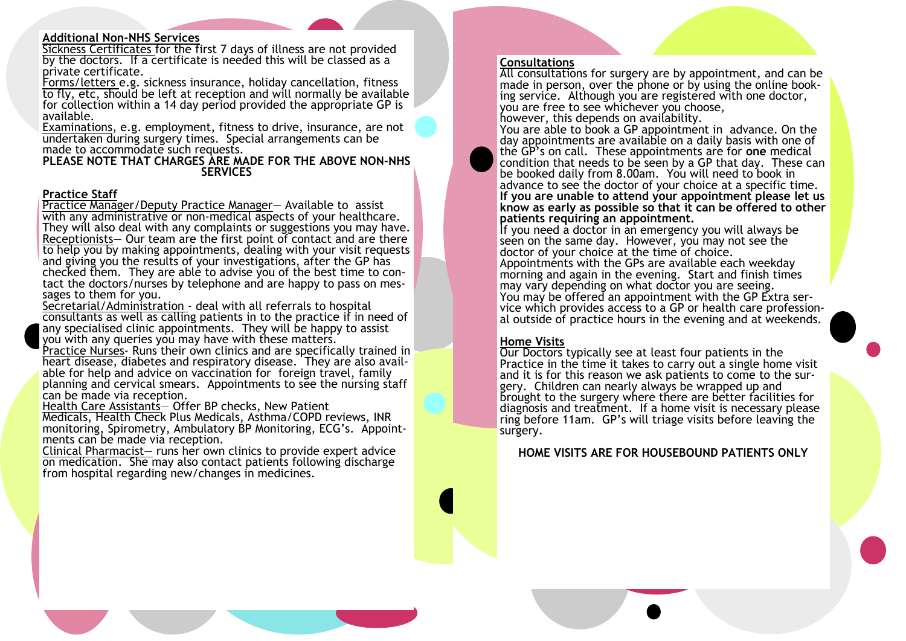#### **Additional Non-NHS Services**

Sickness Certificates for the first 7 days of illness are not provided by the doctors. If a certificate is needed this will be classed as a private certificate.

Forms/letters e.g. sickness insurance, holiday cancellation, fitness to fly, etc, should be left at reception and will normally be available for collection within a 14 day period provided the appropriate GP is available.

Examinations, e.g. employment, fitness to drive, insurance, are not undertaken during surgery times. Special arrangements can be made to accommodate such requests.

**PLEASE NOTE THAT CHARGES ARE MADE FOR THE ABOVE NON-NHS SERVICES**

#### **Practice Staff**

Practice Manager/Deputy Practice Manager— Available to assist with any administrative or non-medical aspects of your healthcare. They will also deal with any complaints or suggestions you may have. Receptionists— Our team are the first point of contact and are there to help you by making appointments, dealing with your visit requests and giving you the results of your investigations, after the GP has checked them. They are able to advise you of the best time to contact the doctors/nurses by telephone and are happy to pass on messages to them for you.

Secretarial/Administration - deal with all referrals to hospital consultants as well as calling patients in to the practice if in need of any specialised clinic appointments. They will be happy to assist you with any queries you may have with these matters.

Practice Nurses- Runs their own clinics and are specifically trained in heart disease, diabetes and respiratory disease. They are also available for help and advice on vaccination for foreign travel, family planning and cervical smears. Appointments to see the nursing staff can be made via reception.

Health Care Assistants— Offer BP checks, New Patient

Medicals, Health Check Plus Medicals, Asthma/COPD reviews, INR monitoring, Spirometry, Ambulatory BP Monitoring, ECG's. Appointments can be made via reception.

Clinical Pharmacist— runs her own clinics to provide expert advice on medication. She may also contact patients following discharge from hospital regarding new/changes in medicines.

#### **Consultations**

All consultations for surgery are by appointment, and can be made in person, over the phone or by using the online booking service. Although you are registered with one doctor, you are free to see whichever you choose, however, this depends on availability.

You are able to book a GP appointment in advance. On the day appointments are available on a daily basis with one of the GP's on call. These appointments are for **one** medical condition that needs to be seen by a GP that day. These can be booked daily from 8.00am. You will need to book in advance to see the doctor of your choice at a specific time. **If you are unable to attend your appointment please let us know as early as possible so that it can be offered to other patients requiring an appointment.** 

If you need a doctor in an emergency you will always be seen on the same day. However, you may not see the doctor of your choice at the time of choice. Appointments with the GPs are available each weekday morning and again in the evening. Start and finish times may vary depending on what doctor you are seeing. You may be offered an appointment with the GP Extra service which provides access to a GP or health care professional outside of practice hours in the evening and at weekends.

#### **Home Visits**

Our Doctors typically see at least four patients in the Practice in the time it takes to carry out a single home visit and it is for this reason we ask patients to come to the surgery. Children can nearly always be wrapped up and brought to the surgery where there are better facilities for diagnosis and treatment. If a home visit is necessary please ring before 11am. GP's will triage visits before leaving the surgery.

**HOME VISITS ARE FOR HOUSEBOUND PATIENTS ONLY**